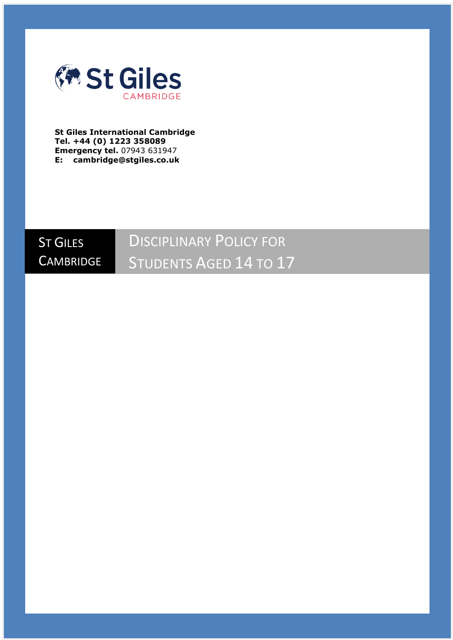

**St Giles International Cambridge Tel. +44 (0) 1223 358089 Emergency tel.** 07943 631947 **E: cambridge@stgiles.co.uk**



# DISCIPLINARY POLICY FOR STUDENTS AGED 14 TO 17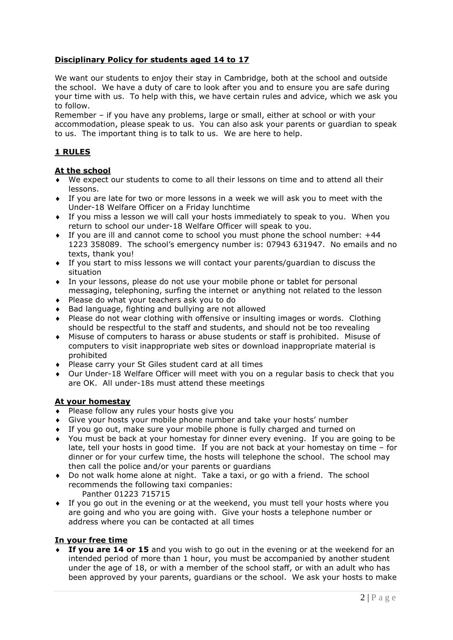## **Disciplinary Policy for students aged 14 to 17**

We want our students to enjoy their stay in Cambridge, both at the school and outside the school. We have a duty of care to look after you and to ensure you are safe during your time with us. To help with this, we have certain rules and advice, which we ask you to follow.

Remember – if you have any problems, large or small, either at school or with your accommodation, please speak to us. You can also ask your parents or guardian to speak to us. The important thing is to talk to us. We are here to help.

## **1 RULES**

## **At the school**

- We expect our students to come to all their lessons on time and to attend all their lessons.
- If you are late for two or more lessons in a week we will ask you to meet with the Under-18 Welfare Officer on a Friday lunchtime
- If you miss a lesson we will call your hosts immediately to speak to you. When you return to school our under-18 Welfare Officer will speak to you.
- If you are ill and cannot come to school you must phone the school number: +44 1223 358089. The school's emergency number is: 07943 631947. No emails and no texts, thank you!
- If you start to miss lessons we will contact your parents/guardian to discuss the situation
- In your lessons, please do not use your mobile phone or tablet for personal messaging, telephoning, surfing the internet or anything not related to the lesson
- ◆ Please do what your teachers ask you to do
- Bad language, fighting and bullying are not allowed
- Please do not wear clothing with offensive or insulting images or words. Clothing should be respectful to the staff and students, and should not be too revealing
- Misuse of computers to harass or abuse students or staff is prohibited. Misuse of computers to visit inappropriate web sites or download inappropriate material is prohibited
- Please carry your St Giles student card at all times
- Our Under-18 Welfare Officer will meet with you on a regular basis to check that you are OK. All under-18s must attend these meetings

#### **At your homestay**

- Please follow any rules your hosts give you
- Give your hosts your mobile phone number and take your hosts' number
- If you go out, make sure your mobile phone is fully charged and turned on
- You must be back at your homestay for dinner every evening. If you are going to be late, tell your hosts in good time. If you are not back at your homestay on time – for dinner or for your curfew time, the hosts will telephone the school. The school may then call the police and/or your parents or guardians
- Do not walk home alone at night. Take a taxi, or go with a friend. The school recommends the following taxi companies: Panther 01223 715715
- If you go out in the evening or at the weekend, you must tell your hosts where you are going and who you are going with. Give your hosts a telephone number or address where you can be contacted at all times

## **In your free time**

 **If you are 14 or 15** and you wish to go out in the evening or at the weekend for an intended period of more than 1 hour, you must be accompanied by another student under the age of 18, or with a member of the school staff, or with an adult who has been approved by your parents, guardians or the school. We ask your hosts to make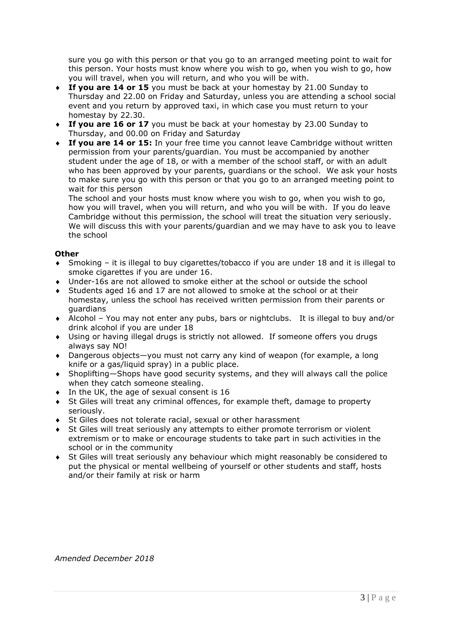sure you go with this person or that you go to an arranged meeting point to wait for this person. Your hosts must know where you wish to go, when you wish to go, how you will travel, when you will return, and who you will be with.

- **If you are 14 or 15** you must be back at your homestay by 21.00 Sunday to Thursday and 22.00 on Friday and Saturday, unless you are attending a school social event and you return by approved taxi, in which case you must return to your homestay by 22.30.
- **If you are 16 or 17** you must be back at your homestay by 23.00 Sunday to Thursday, and 00.00 on Friday and Saturday
- **If you are 14 or 15:** In your free time you cannot leave Cambridge without written permission from your parents/guardian. You must be accompanied by another student under the age of 18, or with a member of the school staff, or with an adult who has been approved by your parents, guardians or the school. We ask your hosts to make sure you go with this person or that you go to an arranged meeting point to wait for this person

The school and your hosts must know where you wish to go, when you wish to go, how you will travel, when you will return, and who you will be with. If you do leave Cambridge without this permission, the school will treat the situation very seriously. We will discuss this with your parents/guardian and we may have to ask you to leave the school

## **Other**

- Smoking it is illegal to buy cigarettes/tobacco if you are under 18 and it is illegal to smoke cigarettes if you are under 16.
- Under-16s are not allowed to smoke either at the school or outside the school
- Students aged 16 and 17 are not allowed to smoke at the school or at their homestay, unless the school has received written permission from their parents or guardians
- Alcohol You may not enter any pubs, bars or nightclubs. It is illegal to buy and/or drink alcohol if you are under 18
- Using or having illegal drugs is strictly not allowed. If someone offers you drugs always say NO!
- Dangerous objects—you must not carry any kind of weapon (for example, a long knife or a gas/liquid spray) in a public place.
- Shoplifting—Shops have good security systems, and they will always call the police when they catch someone stealing.
- $\bullet$  In the UK, the age of sexual consent is 16
- St Giles will treat any criminal offences, for example theft, damage to property seriously.
- St Giles does not tolerate racial, sexual or other harassment
- St Giles will treat seriously any attempts to either promote terrorism or violent extremism or to make or encourage students to take part in such activities in the school or in the community
- St Giles will treat seriously any behaviour which might reasonably be considered to put the physical or mental wellbeing of yourself or other students and staff, hosts and/or their family at risk or harm

*Amended December 2018*